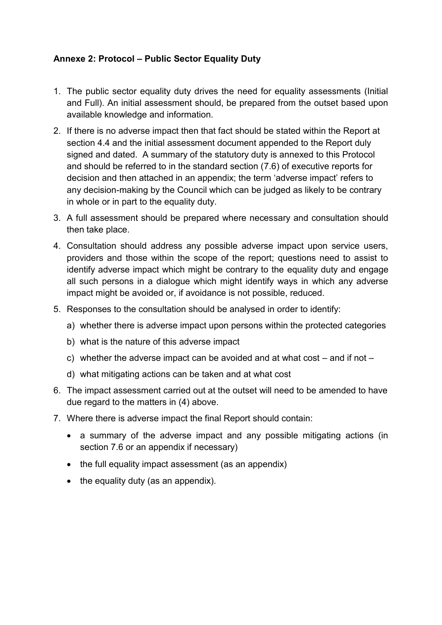## **Annexe 2: Protocol – Public Sector Equality Duty**

- 1. The public sector equality duty drives the need for equality assessments (Initial and Full). An initial assessment should, be prepared from the outset based upon available knowledge and information.
- 2. If there is no adverse impact then that fact should be stated within the Report at section 4.4 and the initial assessment document appended to the Report duly signed and dated. A summary of the statutory duty is annexed to this Protocol and should be referred to in the standard section (7.6) of executive reports for decision and then attached in an appendix; the term 'adverse impact' refers to any decision-making by the Council which can be judged as likely to be contrary in whole or in part to the equality duty.
- 3. A full assessment should be prepared where necessary and consultation should then take place.
- 4. Consultation should address any possible adverse impact upon service users, providers and those within the scope of the report; questions need to assist to identify adverse impact which might be contrary to the equality duty and engage all such persons in a dialogue which might identify ways in which any adverse impact might be avoided or, if avoidance is not possible, reduced.
- 5. Responses to the consultation should be analysed in order to identify:
	- a) whether there is adverse impact upon persons within the protected categories
	- b) what is the nature of this adverse impact
	- c) whether the adverse impact can be avoided and at what cost  $-$  and if not  $-$
	- d) what mitigating actions can be taken and at what cost
- 6. The impact assessment carried out at the outset will need to be amended to have due regard to the matters in (4) above.
- 7. Where there is adverse impact the final Report should contain:
	- a summary of the adverse impact and any possible mitigating actions (in section 7.6 or an appendix if necessary)
	- the full equality impact assessment (as an appendix)
	- the equality duty (as an appendix).